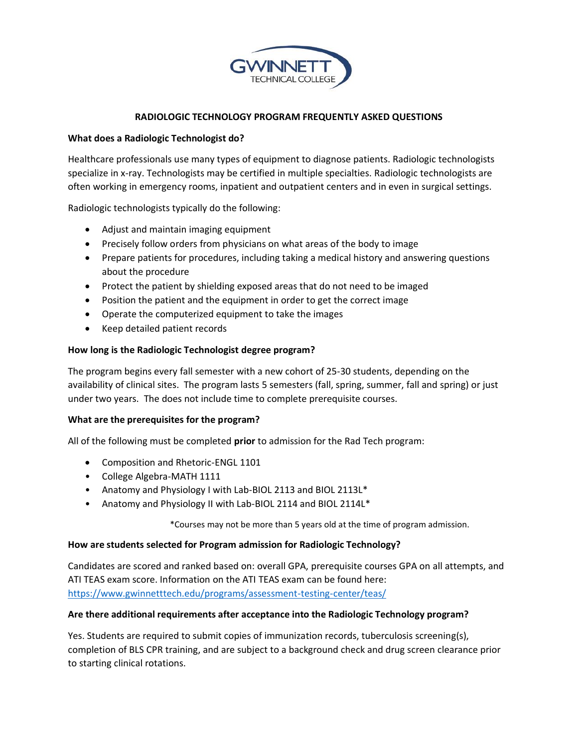

# **RADIOLOGIC TECHNOLOGY PROGRAM FREQUENTLY ASKED QUESTIONS**

## **What does a Radiologic Technologist do?**

Healthcare professionals use many types of equipment to diagnose patients. Radiologic technologists specialize in x-ray. Technologists may be certified in multiple specialties. Radiologic technologists are often working in emergency rooms, inpatient and outpatient centers and in even in surgical settings.

Radiologic technologists typically do the following:

- Adjust and maintain imaging equipment
- Precisely follow orders from physicians on what areas of the body to image
- Prepare patients for procedures, including taking a medical history and answering questions about the procedure
- Protect the patient by shielding exposed areas that do not need to be imaged
- Position the patient and the equipment in order to get the correct image
- Operate the computerized equipment to take the images
- Keep detailed patient records

### **How long is the Radiologic Technologist degree program?**

The program begins every fall semester with a new cohort of 25-30 students, depending on the availability of clinical sites. The program lasts 5 semesters (fall, spring, summer, fall and spring) or just under two years. The does not include time to complete prerequisite courses.

### **What are the prerequisites for the program?**

All of the following must be completed **prior** to admission for the Rad Tech program:

- Composition and Rhetoric-ENGL 1101
- College Algebra-MATH 1111
- Anatomy and Physiology I with Lab-BIOL 2113 and BIOL 2113L\*
- Anatomy and Physiology II with Lab-BIOL 2114 and BIOL 2114L\*

\*Courses may not be more than 5 years old at the time of program admission.

#### **How are students selected for Program admission for Radiologic Technology?**

Candidates are scored and ranked based on: overall GPA, prerequisite courses GPA on all attempts, and ATI TEAS exam score. Information on the ATI TEAS exam can be found here: <https://www.gwinnetttech.edu/programs/assessment-testing-center/teas/>

### **Are there additional requirements after acceptance into the Radiologic Technology program?**

Yes. Students are required to submit copies of immunization records, tuberculosis screening(s), completion of BLS CPR training, and are subject to a background check and drug screen clearance prior to starting clinical rotations.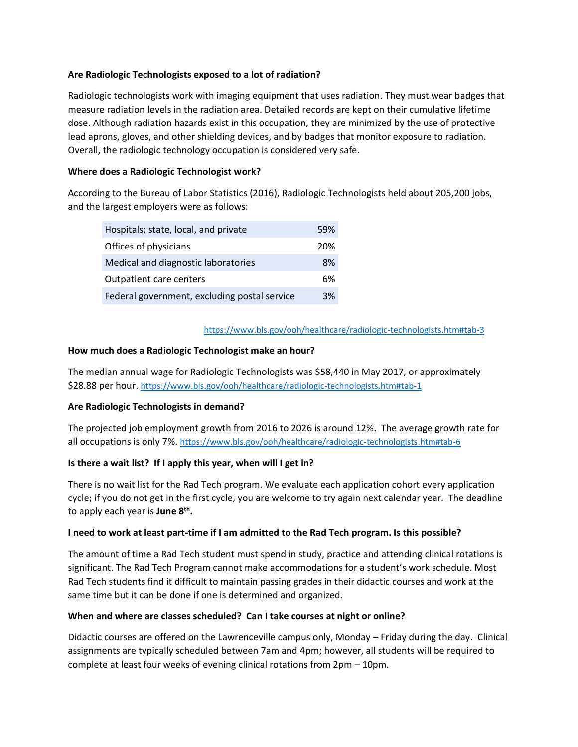# **Are Radiologic Technologists exposed to a lot of radiation?**

 lead aprons, gloves, and other shielding devices, and by badges that monitor exposure to radiation. Radiologic technologists work with imaging equipment that uses radiation. They must wear badges that measure radiation levels in the radiation area. Detailed records are kept on their cumulative lifetime dose. Although radiation hazards exist in this occupation, they are minimized by the use of protective Overall, the radiologic technology occupation is considered very safe.

# **Where does a Radiologic Technologist work?**

According to the Bureau of Labor Statistics (2016), Radiologic Technologists held about 205,200 jobs, and the largest employers were as follows:

| Hospitals; state, local, and private         | 59% |
|----------------------------------------------|-----|
| Offices of physicians                        | 20% |
| Medical and diagnostic laboratories          | 8%  |
| <b>Outpatient care centers</b>               | 6%  |
| Federal government, excluding postal service | 3%  |

#### <https://www.bls.gov/ooh/healthcare/radiologic-technologists.htm#tab-3>

### **How much does a Radiologic Technologist make an hour?**

The median annual wage for Radiologic Technologists was \$58,440 in May 2017, or approximately \$28.88 per hour.<https://www.bls.gov/ooh/healthcare/radiologic-technologists.htm#tab-1>

### **Are Radiologic Technologists in demand?**

The projected job employment growth from 2016 to 2026 is around 12%. The average growth rate for all occupations is only 7%.<https://www.bls.gov/ooh/healthcare/radiologic-technologists.htm#tab-6>

# **Is there a wait list? If I apply this year, when will I get in?**

There is no wait list for the Rad Tech program. We evaluate each application cohort every application cycle; if you do not get in the first cycle, you are welcome to try again next calendar year. The deadline to apply each year is **June 8th.** 

### **I need to work at least part-time if I am admitted to the Rad Tech program. Is this possible?**

The amount of time a Rad Tech student must spend in study, practice and attending clinical rotations is significant. The Rad Tech Program cannot make accommodations for a student's work schedule. Most Rad Tech students find it difficult to maintain passing grades in their didactic courses and work at the same time but it can be done if one is determined and organized.

### **When and where are classes scheduled? Can I take courses at night or online?**

Didactic courses are offered on the Lawrenceville campus only, Monday – Friday during the day. Clinical assignments are typically scheduled between 7am and 4pm; however, all students will be required to complete at least four weeks of evening clinical rotations from 2pm – 10pm.